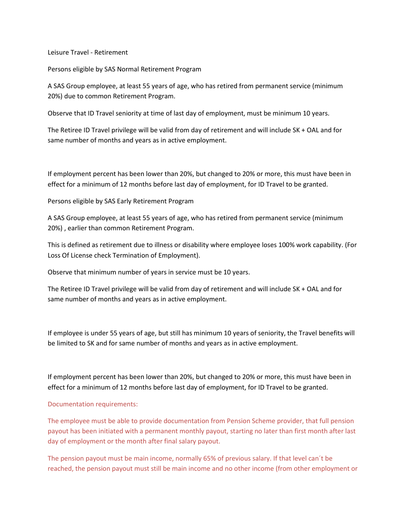Leisure Travel - Retirement

Persons eligible by SAS Normal Retirement Program

A SAS Group employee, at least 55 years of age, who has retired from permanent service (minimum 20%) due to common Retirement Program.

Observe that ID Travel seniority at time of last day of employment, must be minimum 10 years.

The Retiree ID Travel privilege will be valid from day of retirement and will include SK + OAL and for same number of months and years as in active employment.

If employment percent has been lower than 20%, but changed to 20% or more, this must have been in effect for a minimum of 12 months before last day of employment, for ID Travel to be granted.

Persons eligible by SAS Early Retirement Program

A SAS Group employee, at least 55 years of age, who has retired from permanent service (minimum 20%) , earlier than common Retirement Program.

This is defined as retirement due to illness or disability where employee loses 100% work capability. (For Loss Of License check Termination of Employment).

Observe that minimum number of years in service must be 10 years.

The Retiree ID Travel privilege will be valid from day of retirement and will include SK + OAL and for same number of months and years as in active employment.

If employee is under 55 years of age, but still has minimum 10 years of seniority, the Travel benefits will be limited to SK and for same number of months and years as in active employment.

If employment percent has been lower than 20%, but changed to 20% or more, this must have been in effect for a minimum of 12 months before last day of employment, for ID Travel to be granted.

## Documentation requirements:

The employee must be able to provide documentation from Pension Scheme provider, that full pension payout has been initiated with a permanent monthly payout, starting no later than first month after last day of employment or the month after final salary payout.

The pension payout must be main income, normally 65% of previous salary. If that level can´t be reached, the pension payout must still be main income and no other income (from other employment or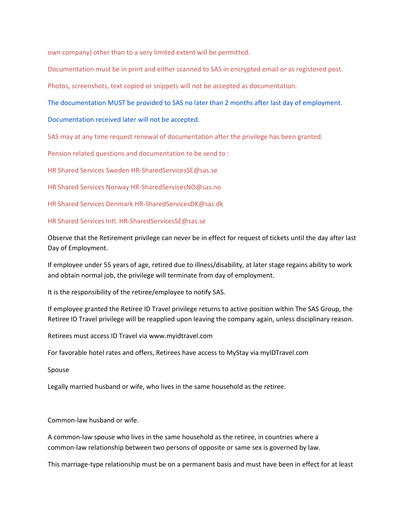own company) other than to a very limited extent will be permitted.

Documentation must be in print and either scanned to SAS in encrypted email or as registered post.

Photos, screenshots, text copied or snippets will not be accepted as documentation.

The documentation MUST be provided to SAS no later than 2 months after last day of employment.

Documentation received later will not be accepted.

SAS may at any time request renewal of documentation after the privilege has been granted.

Pension related questions and documentation to be send to :

HR Shared Services Sweden HR-SharedServicesSE@sas.se

HR Shared Services Norway HR-SharedServicesNO@sas.no

HR Shared Services Denmark HR-SharedServicesDK@sas.dk

HR Shared Services Intl. HR-SharedServicesSE@sas.se

Observe that the Retirement privilege can never be in effect for request of tickets until the day after last Day of Employment.

If employee under 55 years of age, retired due to illness/disability, at later stage regains ability to work and obtain normal job, the privilege will terminate from day of employment.

It is the responsibility of the retiree/employee to notify SAS.

If employee granted the Retiree ID Travel privilege returns to active position within The SAS Group, the Retiree ID Travel privilege will be reapplied upon leaving the company again, unless disciplinary reason.

Retirees must access ID Travel vi[a www.myidtravel.com](www.myidtravel.com)

For favorable hotel rates and offers, Retirees have access to MyStay via myIDTravel.com

Spouse

Legally married husband or wife, who lives in the same household as the retiree.

Common-law husband or wife.

A common-law spouse who lives in the same household as the retiree, in countries where a common-law relationship between two persons of opposite or same sex is governed by law.

This marriage-type relationship must be on a permanent basis and must have been in effect for at least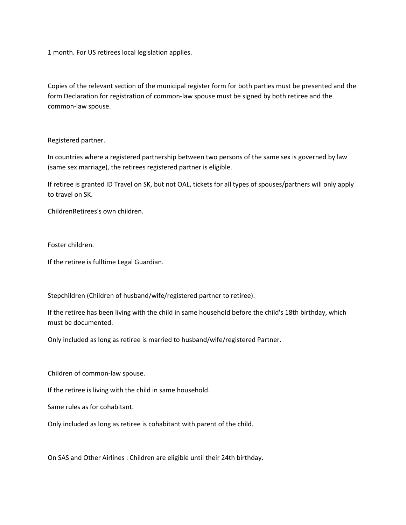1 month. For US retirees local legislation applies.

Copies of the relevant section of the municipal register form for both parties must be presented and the form Declaration for registration of common-law spouse must be signed by both retiree and the common-law spouse.

## Registered partner.

In countries where a registered partnership between two persons of the same sex is governed by law (same sex marriage), the retirees registered partner is eligible.

If retiree is granted ID Travel on SK, but not OAL, tickets for all types of spouses/partners will only apply to travel on SK.

ChildrenRetirees's own children.

Foster children.

If the retiree is fulltime Legal Guardian.

Stepchildren (Children of husband/wife/registered partner to retiree).

If the retiree has been living with the child in same household before the child's 18th birthday, which must be documented.

Only included as long as retiree is married to husband/wife/registered Partner.

Children of common-law spouse.

If the retiree is living with the child in same household.

Same rules as for cohabitant.

Only included as long as retiree is cohabitant with parent of the child.

On SAS and Other Airlines : Children are eligible until their 24th birthday.